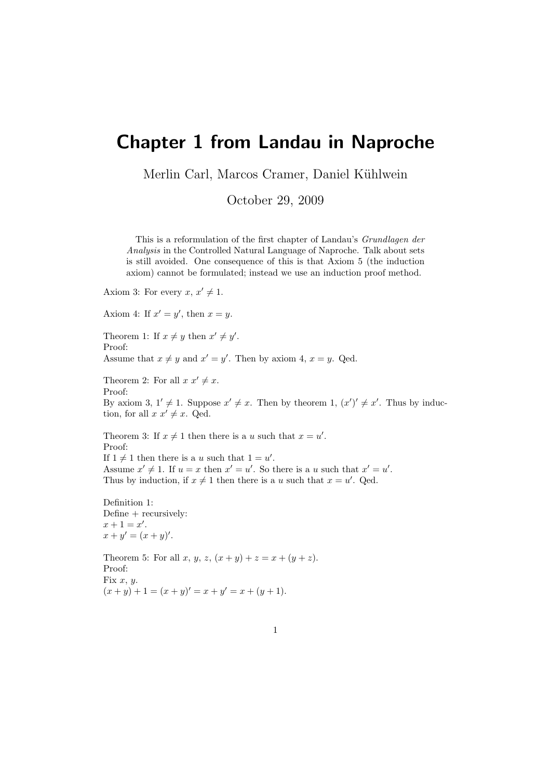## Chapter 1 from Landau in Naproche

Merlin Carl, Marcos Cramer, Daniel Kühlwein

October 29, 2009

This is a reformulation of the first chapter of Landau's Grundlagen der Analysis in the Controlled Natural Language of Naproche. Talk about sets is still avoided. One consequence of this is that Axiom 5 (the induction axiom) cannot be formulated; instead we use an induction proof method.

Axiom 3: For every  $x, x' \neq 1$ .

Axiom 4: If  $x' = y'$ , then  $x = y$ .

Theorem 1: If  $x \neq y$  then  $x' \neq y'$ . Proof: Assume that  $x \neq y$  and  $x' = y'$ . Then by axiom 4,  $x = y$ . Qed.

Theorem 2: For all  $x x' \neq x$ . Proof: By axiom 3,  $1' \neq 1$ . Suppose  $x' \neq x$ . Then by theorem 1,  $(x')' \neq x'$ . Thus by induction, for all  $x \ x' \neq x$ . Qed.

Theorem 3: If  $x \neq 1$  then there is a u such that  $x = u'$ . Proof: If  $1 \neq 1$  then there is a u such that  $1 = u'$ . Assume  $x' \neq 1$ . If  $u = x$  then  $x' = u'$ . So there is a u such that  $x' = u'$ . Thus by induction, if  $x \neq 1$  then there is a u such that  $x = u'$ . Qed.

Definition 1: Define + recursively:  $x + 1 = x'.$  $x + y' = (x + y)'$ .

Theorem 5: For all x, y, z,  $(x + y) + z = x + (y + z)$ . Proof: Fix  $x, y$ .  $(x + y) + 1 = (x + y)' = x + y' = x + (y + 1).$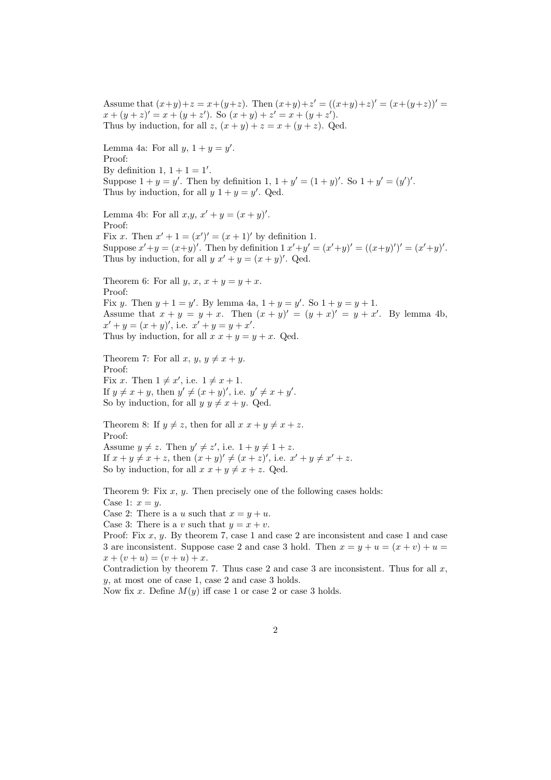Assume that  $(x+y)+z = x+(y+z)$ . Then  $(x+y)+z' = ((x+y)+z)' = (x+(y+z))'$  $x + (y + z)' = x + (y + z')$ . So  $(x + y) + z' = x + (y + z')$ . Thus by induction, for all  $z$ ,  $(x + y) + z = x + (y + z)$ . Qed. Lemma 4a: For all  $y, 1 + y = y'$ . Proof: By definition 1,  $1 + 1 = 1'$ . Suppose  $1 + y = y'$ . Then by definition  $1, 1 + y' = (1 + y)'$ . So  $1 + y' = (y')'$ . Thus by induction, for all  $y \, 1 + y = y'$ . Qed. Lemma 4b: For all  $x,y, x'+y = (x+y)'$ . Proof: Fix x. Then  $x' + 1 = (x')' = (x + 1)'$  by definition 1. Suppose  $x'+y = (x+y)'$ . Then by definition  $1 x'+y' = (x'+y)' = ((x+y)')' = (x'+y)'$ . Thus by induction, for all  $y x' + y = (x + y)'$ . Qed. Theorem 6: For all  $y, x, x + y = y + x$ . Proof: Fix y. Then  $y + 1 = y'$ . By lemma 4a,  $1 + y = y'$ . So  $1 + y = y + 1$ . Assume that  $x + y = y + x$ . Then  $(x + y)' = (y + x)' = y + x'$ . By lemma 4b,  $x' + y = (x + y)'$ , i.e.  $x' + y = y + x'$ . Thus by induction, for all  $x x + y = y + x$ . Qed. Theorem 7: For all  $x, y, y \neq x + y$ . Proof: Fix x. Then  $1 \neq x'$ , i.e.  $1 \neq x + 1$ . If  $y \neq x + y$ , then  $y' \neq (x + y)'$ , i.e.  $y' \neq x + y'$ . So by induction, for all  $y \, y \neq x + y$ . Qed. Theorem 8: If  $y \neq z$ , then for all  $x x + y \neq x + z$ . Proof: Assume  $y \neq z$ . Then  $y' \neq z'$ , i.e.  $1 + y \neq 1 + z$ . If  $x + y \neq x + z$ , then  $(x + y)' \neq (x + z)'$ , i.e.  $x' + y \neq x' + z$ . So by induction, for all  $x x + y \neq x + z$ . Qed.

Theorem 9: Fix  $x, y$ . Then precisely one of the following cases holds: Case 1:  $x = y$ .

Case 2: There is a u such that  $x = y + u$ .

Case 3: There is a v such that  $y = x + v$ .

Proof: Fix  $x, y$ . By theorem 7, case 1 and case 2 are inconsistent and case 1 and case 3 are inconsistent. Suppose case 2 and case 3 hold. Then  $x = y + u = (x + v) + u =$  $x + (v + u) = (v + u) + x.$ 

Contradiction by theorem 7. Thus case 2 and case 3 are inconsistent. Thus for all  $x$ , y, at most one of case 1, case 2 and case 3 holds.

Now fix x. Define  $M(y)$  iff case 1 or case 2 or case 3 holds.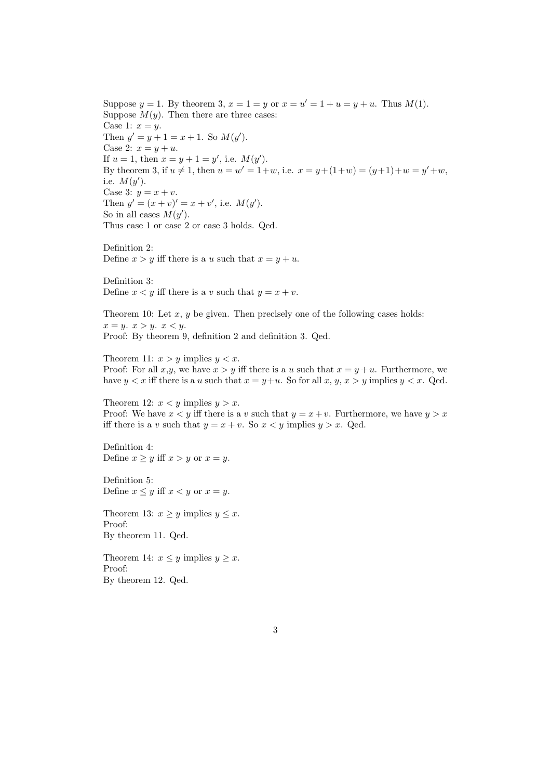Suppose  $y = 1$ . By theorem 3,  $x = 1 = y$  or  $x = u' = 1 + u = y + u$ . Thus  $M(1)$ . Suppose  $M(y)$ . Then there are three cases: Case 1:  $x = y$ . Then  $y' = y + 1 = x + 1$ . So  $M(y')$ . Case 2:  $x = y + u$ . If  $u = 1$ , then  $x = y + 1 = y'$ , i.e.  $M(y')$ . By theorem 3, if  $u \neq 1$ , then  $u = w' = 1+w$ , i.e.  $x = y+(1+w) = (y+1)+w = y'+w$ , i.e.  $M(y')$ . Case 3:  $y = x + v$ . Then  $y' = (x + v)' = x + v'$ , i.e.  $M(y')$ . So in all cases  $M(y')$ . Thus case 1 or case 2 or case 3 holds. Qed.

Definition 2: Define  $x > y$  iff there is a u such that  $x = y + u$ .

Definition 3: Define  $x < y$  iff there is a v such that  $y = x + v$ .

Theorem 10: Let  $x, y$  be given. Then precisely one of the following cases holds:  $x = y$ .  $x > y$ .  $x < y$ . Proof: By theorem 9, definition 2 and definition 3. Qed.

Theorem 11:  $x > y$  implies  $y < x$ . Proof: For all  $x,y$ , we have  $x > y$  iff there is a u such that  $x = y + u$ . Furthermore, we have  $y < x$  iff there is a u such that  $x = y + u$ . So for all  $x, y, x > y$  implies  $y < x$ . Qed.

Theorem 12:  $x < y$  implies  $y > x$ . Proof: We have  $x < y$  iff there is a v such that  $y = x + v$ . Furthermore, we have  $y > x$ iff there is a v such that  $y = x + v$ . So  $x < y$  implies  $y > x$ . Qed.

Definition 4: Define  $x \geq y$  iff  $x > y$  or  $x = y$ .

Definition 5: Define  $x \leq y$  iff  $x < y$  or  $x = y$ .

Theorem 13:  $x \geq y$  implies  $y \leq x$ . Proof: By theorem 11. Qed.

Theorem 14:  $x \leq y$  implies  $y \geq x$ . Proof: By theorem 12. Qed.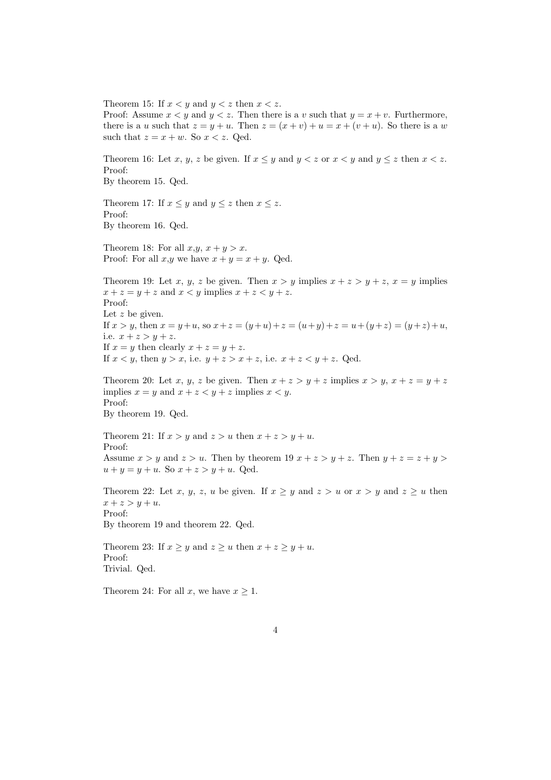Theorem 15: If  $x < y$  and  $y < z$  then  $x < z$ . Proof: Assume  $x < y$  and  $y < z$ . Then there is a v such that  $y = x + v$ . Furthermore, there is a u such that  $z = y + u$ . Then  $z = (x + v) + u = x + (v + u)$ . So there is a w such that  $z = x + w$ . So  $x < z$ . Qed. Theorem 16: Let x, y, z be given. If  $x \leq y$  and  $y \leq z$  or  $x \leq y$  and  $y \leq z$  then  $x \leq z$ . Proof: By theorem 15. Qed. Theorem 17: If  $x \leq y$  and  $y \leq z$  then  $x \leq z$ . Proof: By theorem 16. Qed. Theorem 18: For all  $x,y, x+y > x$ . Proof: For all  $x,y$  we have  $x + y = x + y$ . Qed. Theorem 19: Let x, y, z be given. Then  $x > y$  implies  $x + z > y + z$ ,  $x = y$  implies  $x + z = y + z$  and  $x < y$  implies  $x + z < y + z$ . Proof: Let  $z$  be given. If  $x > y$ , then  $x = y + u$ , so  $x + z = (y + u) + z = (u + y) + z = u + (y + z) = (y + z) + u$ , i.e.  $x + z > y + z$ . If  $x = y$  then clearly  $x + z = y + z$ . If  $x < y$ , then  $y > x$ , i.e.  $y + z > x + z$ , i.e.  $x + z < y + z$ . Qed. Theorem 20: Let x, y, z be given. Then  $x + z > y + z$  implies  $x > y$ ,  $x + z = y + z$ implies  $x = y$  and  $x + z < y + z$  implies  $x < y$ . Proof: By theorem 19. Qed. Theorem 21: If  $x > y$  and  $z > u$  then  $x + z > y + u$ . Proof: Assume  $x > y$  and  $z > u$ . Then by theorem 19  $x + z > y + z$ . Then  $y + z = z + y >$  $u + y = y + u$ . So  $x + z > y + u$ . Qed. Theorem 22: Let x, y, z, u be given. If  $x \geq y$  and  $z > u$  or  $x > y$  and  $z \geq u$  then  $x + z > y + u.$ Proof: By theorem 19 and theorem 22. Qed. Theorem 23: If  $x \geq y$  and  $z \geq u$  then  $x + z \geq y + u$ . Proof: Trivial. Qed. Theorem 24: For all x, we have  $x \geq 1$ .

4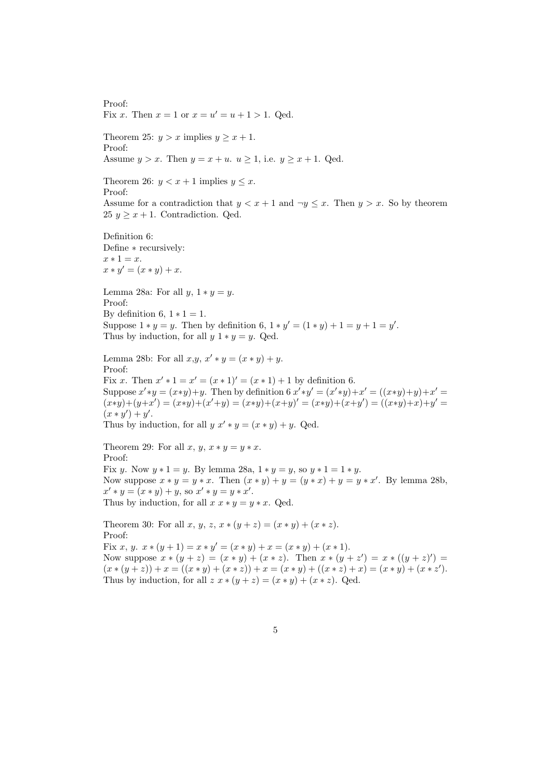Proof: Fix x. Then  $x = 1$  or  $x = u' = u + 1 > 1$ . Qed.

Theorem 25:  $y > x$  implies  $y \ge x + 1$ . Proof: Assume  $y > x$ . Then  $y = x + u$ .  $u > 1$ , i.e.  $y > x + 1$ . Oed.

Theorem 26:  $y < x + 1$  implies  $y \leq x$ . Proof: Assume for a contradiction that  $y < x + 1$  and  $\neg y \leq x$ . Then  $y > x$ . So by theorem 25  $y \geq x + 1$ . Contradiction. Qed.

Definition 6: Define ∗ recursively:  $x * 1 = x$ .  $x * y' = (x * y) + x.$ 

Lemma 28a: For all  $y, 1 * y = y$ . Proof: By definition 6,  $1 * 1 = 1$ . Suppose  $1 * y = y$ . Then by definition 6,  $1 * y' = (1 * y) + 1 = y + 1 = y'$ . Thus by induction, for all  $y \, 1 * y = y$ . Qed.

Lemma 28b: For all  $x, y, x' * y = (x * y) + y$ . Proof: Fix x. Then  $x' * 1 = x' = (x * 1)' = (x * 1) + 1$  by definition 6. Suppose  $x' * y = (x * y) + y$ . Then by definition 6  $x' * y' = (x' * y) + x' = ((x * y) + y) + x' =$  $(x*y)+(y+x') = (x*y)+(x'+y) = (x*y)+(x+y)' = (x*y)+(x+y') = ((x*y)+x)+y' = (x*y)+(x+y')$  $(x * y') + y'.$ Thus by induction, for all  $y x' * y = (x * y) + y$ . Qed.

Theorem 29: For all x, y,  $x * y = y * x$ . Proof: Fix y. Now  $y * 1 = y$ . By lemma 28a,  $1 * y = y$ , so  $y * 1 = 1 * y$ . Now suppose  $x * y = y * x$ . Then  $(x * y) + y = (y * x) + y = y * x'$ . By lemma 28b,  $x' * y = (x * y) + y$ , so  $x' * y = y * x'$ . Thus by induction, for all  $x x * y = y * x$ . Qed.

Theorem 30: For all x, y, z,  $x * (y + z) = (x * y) + (x * z)$ . Proof: Fix x, y.  $x * (y + 1) = x * y' = (x * y) + x = (x * y) + (x * 1)$ . Now suppose  $x * (y + z) = (x * y) + (x * z)$ . Then  $x * (y + z') = x * ((y + z)') =$  $(x * (y + z)) + x = ((x * y) + (x * z)) + x = (x * y) + ((x * z) + x) = (x * y) + (x * z')$ . Thus by induction, for all  $z x * (y + z) = (x * y) + (x * z)$ . Qed.